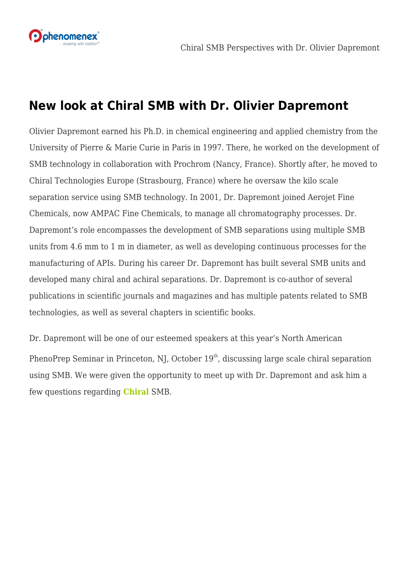

# **New look at Chiral SMB with Dr. Olivier Dapremont**

Olivier Dapremont earned his Ph.D. in chemical engineering and applied chemistry from the University of Pierre & Marie Curie in Paris in 1997. There, he worked on the development of SMB technology in collaboration with Prochrom (Nancy, France). Shortly after, he moved to Chiral Technologies Europe (Strasbourg, France) where he oversaw the kilo scale separation service using SMB technology. In 2001, Dr. Dapremont joined Aerojet Fine Chemicals, now AMPAC Fine Chemicals, to manage all chromatography processes. Dr. Dapremont's role encompasses the development of SMB separations using multiple SMB units from 4.6 mm to 1 m in diameter, as well as developing continuous processes for the manufacturing of APIs. During his career Dr. Dapremont has built several SMB units and developed many chiral and achiral separations. Dr. Dapremont is co-author of several publications in scientific journals and magazines and has multiple patents related to SMB technologies, as well as several chapters in scientific books.

Dr. Dapremont will be one of our esteemed speakers at this year's North American PhenoPrep Seminar in Princeton, NJ, October 19<sup>th</sup>, discussing large scale chiral separation using SMB. We were given the opportunity to meet up with Dr. Dapremont and ask him a few questions regarding **[Chiral](http://ow.ly/LYJl30fhtxK)** SMB.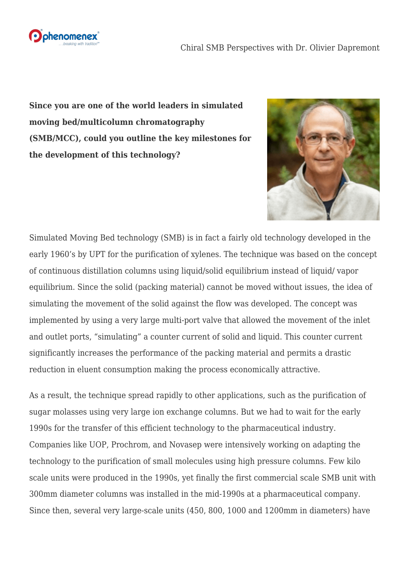

**Since you are one of the world leaders in simulated moving bed/multicolumn chromatography (SMB/MCC), could you outline the key milestones for the development of this technology?**



Simulated Moving Bed technology (SMB) is in fact a fairly old technology developed in the early 1960's by UPT for the purification of xylenes. The technique was based on the concept of continuous distillation columns using liquid/solid equilibrium instead of liquid/ vapor equilibrium. Since the solid (packing material) cannot be moved without issues, the idea of simulating the movement of the solid against the flow was developed. The concept was implemented by using a very large multi-port valve that allowed the movement of the inlet and outlet ports, "simulating" a counter current of solid and liquid. This counter current significantly increases the performance of the packing material and permits a drastic reduction in eluent consumption making the process economically attractive.

As a result, the technique spread rapidly to other applications, such as the purification of sugar molasses using very large ion exchange columns. But we had to wait for the early 1990s for the transfer of this efficient technology to the pharmaceutical industry. Companies like UOP, Prochrom, and Novasep were intensively working on adapting the technology to the purification of small molecules using high pressure columns. Few kilo scale units were produced in the 1990s, yet finally the first commercial scale SMB unit with 300mm diameter columns was installed in the mid-1990s at a pharmaceutical company. Since then, several very large-scale units (450, 800, 1000 and 1200mm in diameters) have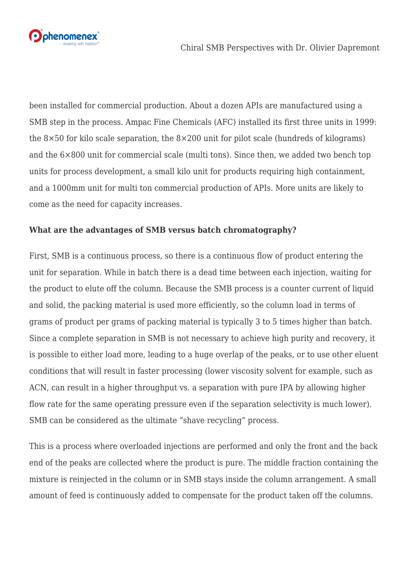

been installed for commercial production. About a dozen APIs are manufactured using a SMB step in the process. Ampac Fine Chemicals (AFC) installed its first three units in 1999: the 8×50 for kilo scale separation, the 8×200 unit for pilot scale (hundreds of kilograms) and the 6×800 unit for commercial scale (multi tons). Since then, we added two bench top units for process development, a small kilo unit for products requiring high containment, and a 1000mm unit for multi ton commercial production of APIs. More units are likely to come as the need for capacity increases.

#### **What are the advantages of SMB versus batch chromatography?**

First, SMB is a continuous process, so there is a continuous flow of product entering the unit for separation. While in batch there is a dead time between each injection, waiting for the product to elute off the column. Because the SMB process is a counter current of liquid and solid, the packing material is used more efficiently, so the column load in terms of grams of product per grams of packing material is typically 3 to 5 times higher than batch. Since a complete separation in SMB is not necessary to achieve high purity and recovery, it is possible to either load more, leading to a huge overlap of the peaks, or to use other eluent conditions that will result in faster processing (lower viscosity solvent for example, such as ACN, can result in a higher throughput vs. a separation with pure IPA by allowing higher flow rate for the same operating pressure even if the separation selectivity is much lower). SMB can be considered as the ultimate "shave recycling" process.

This is a process where overloaded injections are performed and only the front and the back end of the peaks are collected where the product is pure. The middle fraction containing the mixture is reinjected in the column or in SMB stays inside the column arrangement. A small amount of feed is continuously added to compensate for the product taken off the columns.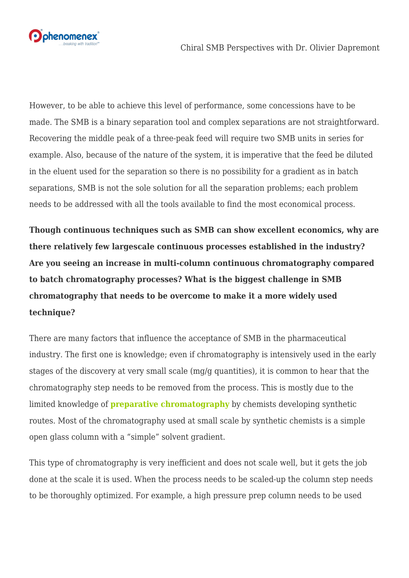



However, to be able to achieve this level of performance, some concessions have to be made. The SMB is a binary separation tool and complex separations are not straightforward. Recovering the middle peak of a three-peak feed will require two SMB units in series for example. Also, because of the nature of the system, it is imperative that the feed be diluted in the eluent used for the separation so there is no possibility for a gradient as in batch separations, SMB is not the sole solution for all the separation problems; each problem needs to be addressed with all the tools available to find the most economical process.

**Though continuous techniques such as SMB can show excellent economics, why are there relatively few largescale continuous processes established in the industry? Are you seeing an increase in multi-column continuous chromatography compared to batch chromatography processes? What is the biggest challenge in SMB chromatography that needs to be overcome to make it a more widely used technique?**

There are many factors that influence the acceptance of SMB in the pharmaceutical industry. The first one is knowledge; even if chromatography is intensively used in the early stages of the discovery at very small scale (mg/g quantities), it is common to hear that the chromatography step needs to be removed from the process. This is mostly due to the limited knowledge of **[preparative chromatography](http://ow.ly/fcmT30fhuN0)** by chemists developing synthetic routes. Most of the chromatography used at small scale by synthetic chemists is a simple open glass column with a "simple" solvent gradient.

This type of chromatography is very inefficient and does not scale well, but it gets the job done at the scale it is used. When the process needs to be scaled-up the column step needs to be thoroughly optimized. For example, a high pressure prep column needs to be used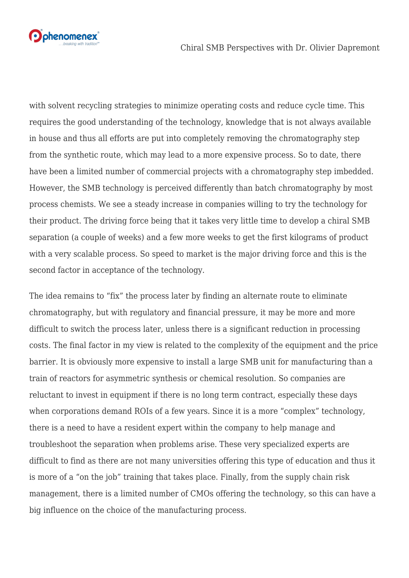

with solvent recycling strategies to minimize operating costs and reduce cycle time. This requires the good understanding of the technology, knowledge that is not always available in house and thus all efforts are put into completely removing the chromatography step from the synthetic route, which may lead to a more expensive process. So to date, there have been a limited number of commercial projects with a chromatography step imbedded. However, the SMB technology is perceived differently than batch chromatography by most process chemists. We see a steady increase in companies willing to try the technology for their product. The driving force being that it takes very little time to develop a chiral SMB separation (a couple of weeks) and a few more weeks to get the first kilograms of product with a very scalable process. So speed to market is the major driving force and this is the second factor in acceptance of the technology.

The idea remains to "fix" the process later by finding an alternate route to eliminate chromatography, but with regulatory and financial pressure, it may be more and more difficult to switch the process later, unless there is a significant reduction in processing costs. The final factor in my view is related to the complexity of the equipment and the price barrier. It is obviously more expensive to install a large SMB unit for manufacturing than a train of reactors for asymmetric synthesis or chemical resolution. So companies are reluctant to invest in equipment if there is no long term contract, especially these days when corporations demand ROIs of a few years. Since it is a more "complex" technology, there is a need to have a resident expert within the company to help manage and troubleshoot the separation when problems arise. These very specialized experts are difficult to find as there are not many universities offering this type of education and thus it is more of a "on the job" training that takes place. Finally, from the supply chain risk management, there is a limited number of CMOs offering the technology, so this can have a big influence on the choice of the manufacturing process.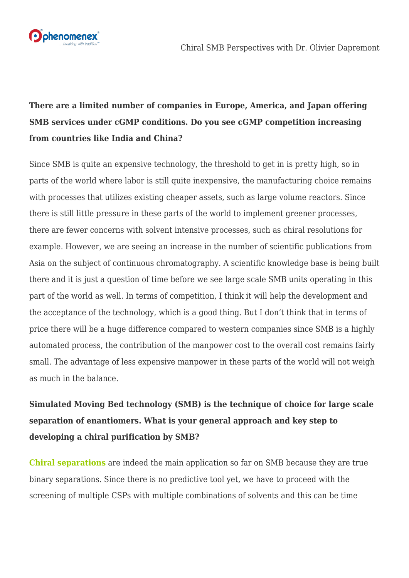

## **There are a limited number of companies in Europe, America, and Japan offering SMB services under cGMP conditions. Do you see cGMP competition increasing from countries like India and China?**

Since SMB is quite an expensive technology, the threshold to get in is pretty high, so in parts of the world where labor is still quite inexpensive, the manufacturing choice remains with processes that utilizes existing cheaper assets, such as large volume reactors. Since there is still little pressure in these parts of the world to implement greener processes, there are fewer concerns with solvent intensive processes, such as chiral resolutions for example. However, we are seeing an increase in the number of scientific publications from Asia on the subject of continuous chromatography. A scientific knowledge base is being built there and it is just a question of time before we see large scale SMB units operating in this part of the world as well. In terms of competition, I think it will help the development and the acceptance of the technology, which is a good thing. But I don't think that in terms of price there will be a huge difference compared to western companies since SMB is a highly automated process, the contribution of the manpower cost to the overall cost remains fairly small. The advantage of less expensive manpower in these parts of the world will not weigh as much in the balance.

## **Simulated Moving Bed technology (SMB) is the technique of choice for large scale separation of enantiomers. What is your general approach and key step to developing a chiral purification by SMB?**

**[Chiral separations](http://ow.ly/p9iM30fhuWr)** are indeed the main application so far on SMB because they are true binary separations. Since there is no predictive tool yet, we have to proceed with the screening of multiple CSPs with multiple combinations of solvents and this can be time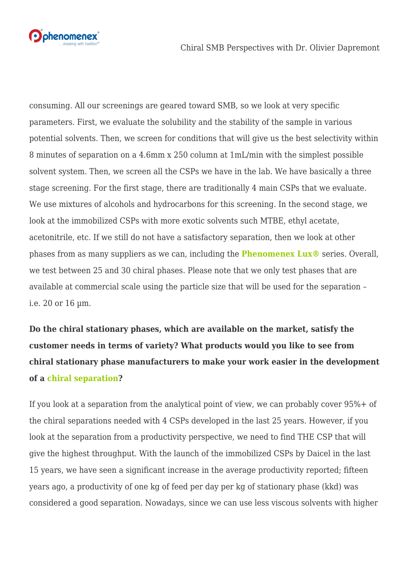

consuming. All our screenings are geared toward SMB, so we look at very specific parameters. First, we evaluate the solubility and the stability of the sample in various potential solvents. Then, we screen for conditions that will give us the best selectivity within 8 minutes of separation on a 4.6mm x 250 column at 1mL/min with the simplest possible solvent system. Then, we screen all the CSPs we have in the lab. We have basically a three stage screening. For the first stage, there are traditionally 4 main CSPs that we evaluate. We use mixtures of alcohols and hydrocarbons for this screening. In the second stage, we look at the immobilized CSPs with more exotic solvents such MTBE, ethyl acetate, acetonitrile, etc. If we still do not have a satisfactory separation, then we look at other phases from as many suppliers as we can, including the **[Phenomenex Lux®](http://ow.ly/FSl330fhv0L)** series. Overall, we test between 25 and 30 chiral phases. Please note that we only test phases that are available at commercial scale using the particle size that will be used for the separation – i.e. 20 or 16 µm.

**Do the chiral stationary phases, which are available on the market, satisfy the customer needs in terms of variety? What products would you like to see from chiral stationary phase manufacturers to make your work easier in the development of a [chiral separation](http://ow.ly/LYJl30fhtxK)?**

If you look at a separation from the analytical point of view, we can probably cover 95%+ of the chiral separations needed with 4 CSPs developed in the last 25 years. However, if you look at the separation from a productivity perspective, we need to find THE CSP that will give the highest throughput. With the launch of the immobilized CSPs by Daicel in the last 15 years, we have seen a significant increase in the average productivity reported; fifteen years ago, a productivity of one kg of feed per day per kg of stationary phase (kkd) was considered a good separation. Nowadays, since we can use less viscous solvents with higher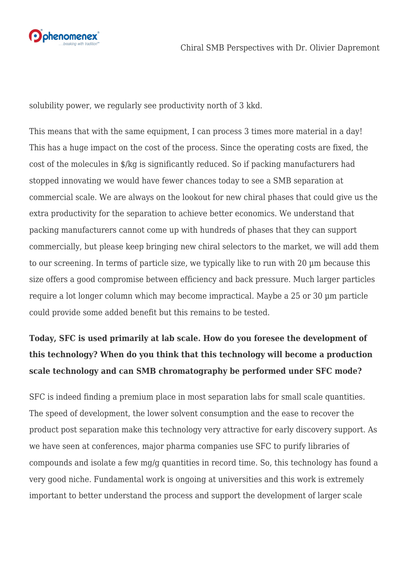

solubility power, we regularly see productivity north of 3 kkd.

This means that with the same equipment, I can process 3 times more material in a day! This has a huge impact on the cost of the process. Since the operating costs are fixed, the cost of the molecules in \$/kg is significantly reduced. So if packing manufacturers had stopped innovating we would have fewer chances today to see a SMB separation at commercial scale. We are always on the lookout for new chiral phases that could give us the extra productivity for the separation to achieve better economics. We understand that packing manufacturers cannot come up with hundreds of phases that they can support commercially, but please keep bringing new chiral selectors to the market, we will add them to our screening. In terms of particle size, we typically like to run with 20 µm because this size offers a good compromise between efficiency and back pressure. Much larger particles require a lot longer column which may become impractical. Maybe a 25 or 30 µm particle could provide some added benefit but this remains to be tested.

## **Today, SFC is used primarily at lab scale. How do you foresee the development of this technology? When do you think that this technology will become a production scale technology and can SMB chromatography be performed under SFC mode?**

SFC is indeed finding a premium place in most separation labs for small scale quantities. The speed of development, the lower solvent consumption and the ease to recover the product post separation make this technology very attractive for early discovery support. As we have seen at conferences, major pharma companies use SFC to purify libraries of compounds and isolate a few mg/g quantities in record time. So, this technology has found a very good niche. Fundamental work is ongoing at universities and this work is extremely important to better understand the process and support the development of larger scale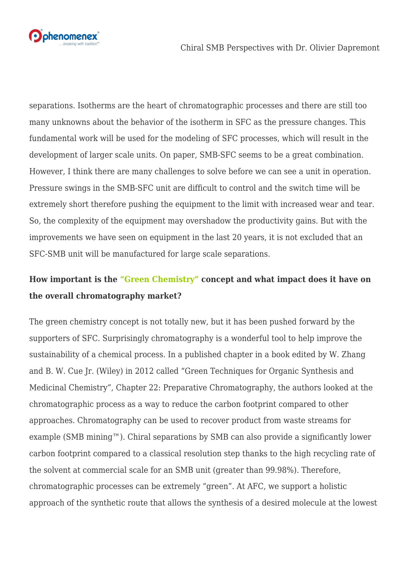

separations. Isotherms are the heart of chromatographic processes and there are still too many unknowns about the behavior of the isotherm in SFC as the pressure changes. This fundamental work will be used for the modeling of SFC processes, which will result in the development of larger scale units. On paper, SMB-SFC seems to be a great combination. However, I think there are many challenges to solve before we can see a unit in operation. Pressure swings in the SMB-SFC unit are difficult to control and the switch time will be extremely short therefore pushing the equipment to the limit with increased wear and tear. So, the complexity of the equipment may overshadow the productivity gains. But with the improvements we have seen on equipment in the last 20 years, it is not excluded that an SFC-SMB unit will be manufactured for large scale separations.

#### **How important is th[e "Green Chemistry"](http://ow.ly/E7Wb30fhuv8) concept and what impact does it have on the overall chromatography market?**

The green chemistry concept is not totally new, but it has been pushed forward by the supporters of SFC. Surprisingly chromatography is a wonderful tool to help improve the sustainability of a chemical process. In a published chapter in a book edited by W. Zhang and B. W. Cue Jr. (Wiley) in 2012 called "Green Techniques for Organic Synthesis and Medicinal Chemistry", Chapter 22: Preparative Chromatography, the authors looked at the chromatographic process as a way to reduce the carbon footprint compared to other approaches. Chromatography can be used to recover product from waste streams for example (SMB mining $^m$ ). Chiral separations by SMB can also provide a significantly lower carbon footprint compared to a classical resolution step thanks to the high recycling rate of the solvent at commercial scale for an SMB unit (greater than 99.98%). Therefore, chromatographic processes can be extremely "green". At AFC, we support a holistic approach of the synthetic route that allows the synthesis of a desired molecule at the lowest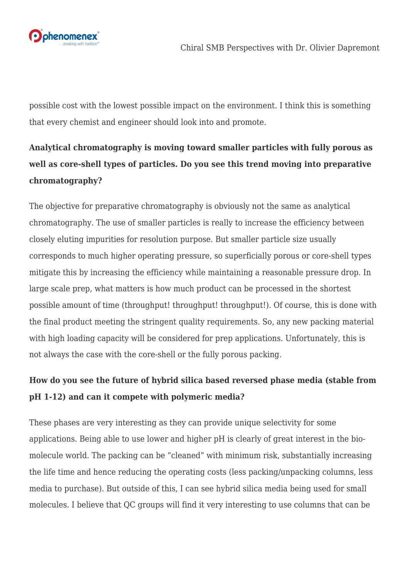

possible cost with the lowest possible impact on the environment. I think this is something that every chemist and engineer should look into and promote.

## **Analytical chromatography is moving toward smaller particles with fully porous as well as core-shell types of particles. Do you see this trend moving into preparative chromatography?**

The objective for preparative chromatography is obviously not the same as analytical chromatography. The use of smaller particles is really to increase the efficiency between closely eluting impurities for resolution purpose. But smaller particle size usually corresponds to much higher operating pressure, so superficially porous or core-shell types mitigate this by increasing the efficiency while maintaining a reasonable pressure drop. In large scale prep, what matters is how much product can be processed in the shortest possible amount of time (throughput! throughput! throughput!). Of course, this is done with the final product meeting the stringent quality requirements. So, any new packing material with high loading capacity will be considered for prep applications. Unfortunately, this is not always the case with the core-shell or the fully porous packing.

#### **How do you see the future of hybrid silica based reversed phase media (stable from pH 1-12) and can it compete with polymeric media?**

These phases are very interesting as they can provide unique selectivity for some applications. Being able to use lower and higher pH is clearly of great interest in the biomolecule world. The packing can be "cleaned" with minimum risk, substantially increasing the life time and hence reducing the operating costs (less packing/unpacking columns, less media to purchase). But outside of this, I can see hybrid silica media being used for small molecules. I believe that QC groups will find it very interesting to use columns that can be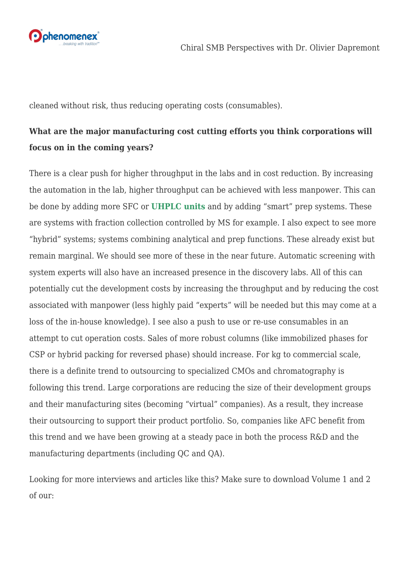

cleaned without risk, thus reducing operating costs (consumables).

#### **What are the major manufacturing cost cutting efforts you think corporations will focus on in the coming years?**

There is a clear push for higher throughput in the labs and in cost reduction. By increasing the automation in the lab, higher throughput can be achieved with less manpower. This can be done by adding more SFC or **[UHPLC units](http://ow.ly/Kdbw30fhuE4)** and by adding "smart" prep systems. These are systems with fraction collection controlled by MS for example. I also expect to see more "hybrid" systems; systems combining analytical and prep functions. These already exist but remain marginal. We should see more of these in the near future. Automatic screening with system experts will also have an increased presence in the discovery labs. All of this can potentially cut the development costs by increasing the throughput and by reducing the cost associated with manpower (less highly paid "experts" will be needed but this may come at a loss of the in-house knowledge). I see also a push to use or re-use consumables in an attempt to cut operation costs. Sales of more robust columns (like immobilized phases for CSP or hybrid packing for reversed phase) should increase. For kg to commercial scale, there is a definite trend to outsourcing to specialized CMOs and chromatography is following this trend. Large corporations are reducing the size of their development groups and their manufacturing sites (becoming "virtual" companies). As a result, they increase their outsourcing to support their product portfolio. So, companies like AFC benefit from this trend and we have been growing at a steady pace in both the process R&D and the manufacturing departments (including QC and QA).

Looking for more interviews and articles like this? Make sure to download Volume 1 and 2 of our: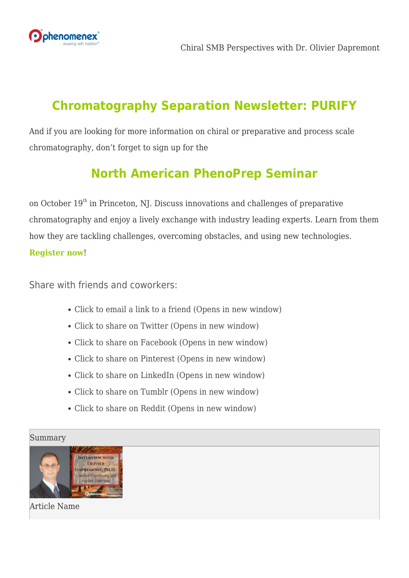

# **[Chromatography Separation Newsletter: PURIFY](http://ow.ly/gppE30fhwjh)**

And if you are looking for more information on chiral or preparative and process scale chromatography, don't forget to sign up for the

# **[North American PhenoPrep Seminar](http://ow.ly/GFZh30fhvmM)**

on October  $19<sup>th</sup>$  in Princeton, NJ. Discuss innovations and challenges of preparative chromatography and enjoy a lively exchange with industry leading experts. Learn from them how they are tackling challenges, overcoming obstacles, and using new technologies. **[Register now](http://ow.ly/GFZh30fhvmM)**!

Share with friends and coworkers:

- [Click to email a link to a friend \(Opens in new window\)](mailto:?subject=%5BShared%20Post%5D%20Chiral%20SMB%20Perspectives%20with%20Dr.%20Olivier%20Dapremont&body=https%3A%2F%2Fphenomenex.blog%2F2022%2F05%2F18%2Fchiral-smb-olivier-dapremont%2F&share=email)
- [Click to share on Twitter \(Opens in new window\)](https://phenomenex.blog/2022/05/18/chiral-smb-olivier-dapremont/?share=twitter)
- [Click to share on Facebook \(Opens in new window\)](https://phenomenex.blog/2022/05/18/chiral-smb-olivier-dapremont/?share=facebook)
- [Click to share on Pinterest \(Opens in new window\)](https://phenomenex.blog/2022/05/18/chiral-smb-olivier-dapremont/?share=pinterest)
- [Click to share on LinkedIn \(Opens in new window\)](https://phenomenex.blog/2022/05/18/chiral-smb-olivier-dapremont/?share=linkedin)
- [Click to share on Tumblr \(Opens in new window\)](https://phenomenex.blog/2022/05/18/chiral-smb-olivier-dapremont/?share=tumblr)
- [Click to share on Reddit \(Opens in new window\)](https://phenomenex.blog/2022/05/18/chiral-smb-olivier-dapremont/?share=reddit)

Summary



Article Name